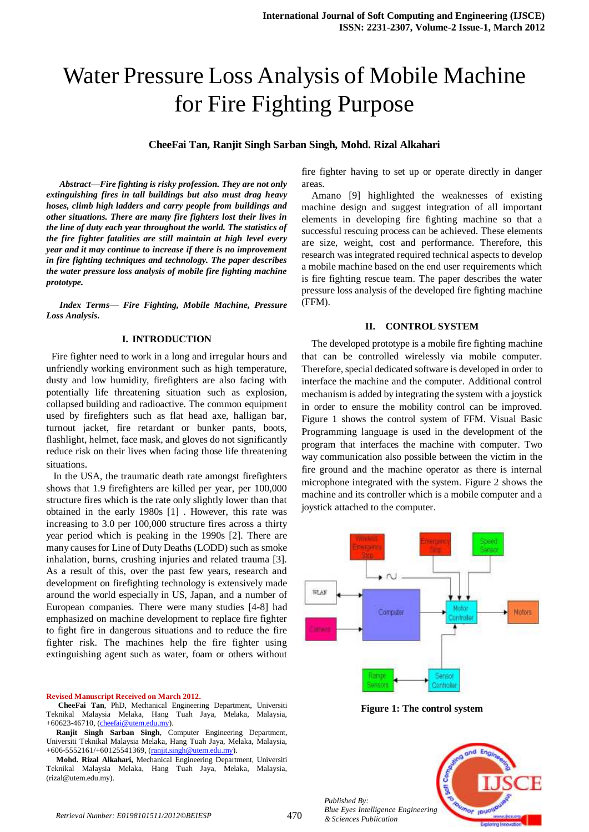# Water Pressure Loss Analysis of Mobile Machine for Fire Fighting Purpose

# **CheeFai Tan, Ranjit Singh Sarban Singh, Mohd. Rizal Alkahari**

*Abstract—Fire fighting is risky profession. They are not only extinguishing fires in tall buildings but also must drag heavy hoses, climb high ladders and carry people from buildings and other situations. There are many fire fighters lost their lives in the line of duty each year throughout the world. The statistics of the fire fighter fatalities are still maintain at high level every year and it may continue to increase if there is no improvement in fire fighting techniques and technology. The paper describes the water pressure loss analysis of mobile fire fighting machine prototype.*

*Index Terms— Fire Fighting, Mobile Machine, Pressure Loss Analysis.*

## **I. INTRODUCTION**

 Fire fighter need to work in a long and irregular hours and unfriendly working environment such as high temperature, dusty and low humidity, firefighters are also facing with potentially life threatening situation such as explosion, collapsed building and radioactive. The common equipment used by firefighters such as flat head axe, halligan bar, turnout jacket, fire retardant or bunker pants, boots, flashlight, helmet, face mask, and gloves do not significantly reduce risk on their lives when facing those life threatening situations.

In the USA, the traumatic death rate amongst firefighters shows that 1.9 firefighters are killed per year, per 100,000 structure fires which is the rate only slightly lower than that obtained in the early 1980s [1] . However, this rate was increasing to 3.0 per 100,000 structure fires across a thirty year period which is peaking in the 1990s [2]. There are many causes for Line of Duty Deaths (LODD) such as smoke inhalation, burns, crushing injuries and related trauma [3]. As a result of this, over the past few years, research and development on firefighting technology is extensively made around the world especially in US, Japan, and a number of European companies. There were many studies [4-8] had emphasized on machine development to replace fire fighter to fight fire in dangerous situations and to reduce the fire fighter risk. The machines help the fire fighter using extinguishing agent such as water, foam or others without

## **Revised Manuscript Received on March 2012.**

**CheeFai Tan**, PhD, Mechanical Engineering Department, Universiti Teknikal Malaysia Melaka, Hang Tuah Jaya, Melaka, Malaysia, +60623-46710, (*cheefai@utem.edu.my*).

**Ranjit Singh Sarban Singh**, Computer Engineering Department, Universiti Teknikal Malaysia Melaka, Hang Tuah Jaya, Melaka, Malaysia, +606-5552161/+60125541369, [\(ranjit.singh@utem.edu.my\)](mailto:ranjit.singh@utem.edu.my).

**Mohd. Rizal Alkahari,** Mechanical Engineering Department, Universiti Teknikal Malaysia Melaka, Hang Tuah Jaya, Melaka, Malaysia, (rizal@utem.edu.my).

fire fighter having to set up or operate directly in danger areas.

Amano [9] highlighted the weaknesses of existing machine design and suggest integration of all important elements in developing fire fighting machine so that a successful rescuing process can be achieved. These elements are size, weight, cost and performance. Therefore, this research was integrated required technical aspects to develop a mobile machine based on the end user requirements which is fire fighting rescue team. The paper describes the water pressure loss analysis of the developed fire fighting machine (FFM).

## **II. CONTROL SYSTEM**

The developed prototype is a mobile fire fighting machine that can be controlled wirelessly via mobile computer. Therefore, special dedicated software is developed in order to interface the machine and the computer. Additional control mechanism is added by integrating the system with a joystick in order to ensure the mobility control can be improved. Figure 1 shows the control system of FFM. Visual Basic Programming language is used in the development of the program that interfaces the machine with computer. Two way communication also possible between the victim in the fire ground and the machine operator as there is internal microphone integrated with the system. Figure 2 shows the machine and its controller which is a mobile computer and a joystick attached to the computer.



**Figure 1: The control system**

*Published By: Blue Eyes Intelligence Engineering* 

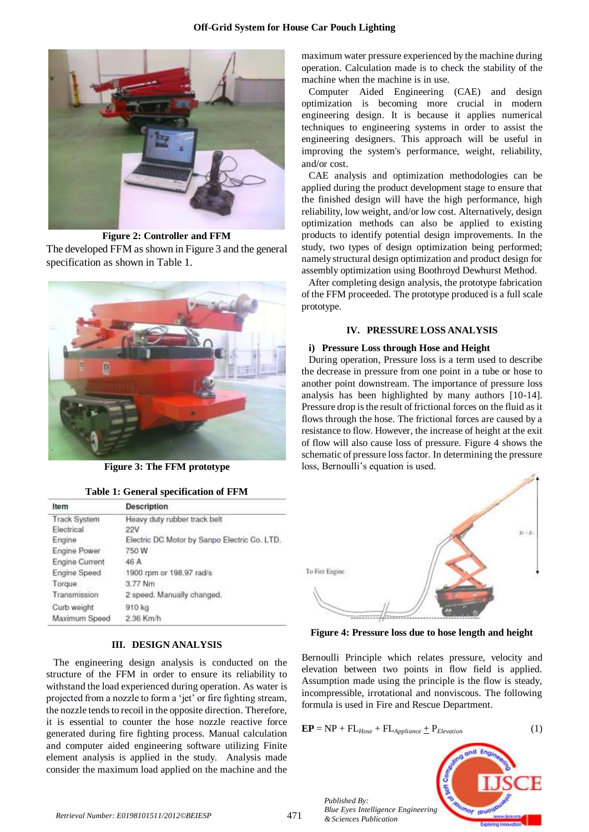

**Figure 2: Controller and FFM**

The developed FFM as shown in Figure 3 and the general specification as shown in Table 1.



**Figure 3: The FFM prototype**

**Table 1: General specification of FFM**

| Item                  | <b>Description</b>                           |
|-----------------------|----------------------------------------------|
| <b>Track System</b>   | Heavy duty rubber track belt                 |
| Flectrical            | 22V                                          |
| Engine                | Electric DC Motor by Sanpo Electric Co. LTD. |
| Engine Power          | 750 W                                        |
| <b>Engine Current</b> | 46 A                                         |
| Engine Speed          | 1900 rpm or 198.97 rad/s                     |
| Torque                | 3.77 Nm                                      |
| Transmission          | 2 speed. Manually changed.                   |
| Curb weight           | 910 kg                                       |
| Maximum Speed         | 2.36 Km/h                                    |

## **III. DESIGN ANALYSIS**

The engineering design analysis is conducted on the structure of the FFM in order to ensure its reliability to withstand the load experienced during operation. As water is projected from a nozzle to form a "jet" or fire fighting stream, the nozzle tends to recoil in the opposite direction. Therefore, it is essential to counter the hose nozzle reactive force generated during fire fighting process. Manual calculation and computer aided engineering software utilizing Finite element analysis is applied in the study. Analysis made consider the maximum load applied on the machine and the maximum water pressure experienced by the machine during operation. Calculation made is to check the stability of the machine when the machine is in use.

Computer Aided Engineering (CAE) and design optimization is becoming more crucial in modern engineering design. It is because it applies numerical techniques to engineering systems in order to assist the engineering designers. This approach will be useful in improving the system's performance, weight, reliability, and/or cost.

CAE analysis and optimization methodologies can be applied during the product development stage to ensure that the finished design will have the high performance, high reliability, low weight, and/or low cost. Alternatively, design optimization methods can also be applied to existing products to identify potential design improvements. In the study, two types of design optimization being performed; namely structural design optimization and product design for assembly optimization using Boothroyd Dewhurst Method.

After completing design analysis, the prototype fabrication of the FFM proceeded. The prototype produced is a full scale prototype.

# **IV. PRESSURE LOSS ANALYSIS**

#### **i) Pressure Loss through Hose and Height**

During operation, Pressure loss is a term used to describe the decrease in pressure from one point in a tube or hose to another point downstream. The importance of pressure loss analysis has been highlighted by many authors [10-14]. Pressure drop is the result of frictional forces on the fluid as it flows through the hose. The frictional forces are caused by a resistance to flow. However, the increase of height at the exit of flow will also cause loss of pressure. Figure 4 shows the schematic of pressure loss factor. In determining the pressure loss, Bernoulli's equation is used.



**Figure 4: Pressure loss due to hose length and height**

Bernoulli Principle which relates pressure, velocity and elevation between two points in flow field is applied. Assumption made using the principle is the flow is steady, incompressible, irrotational and nonviscous. The following formula is used in Fire and Rescue Department.

$$
EP = NP + FLHose + FLAppliance + PElevation
$$
 (1)



*Published By: Blue Eyes Intelligence Engineering*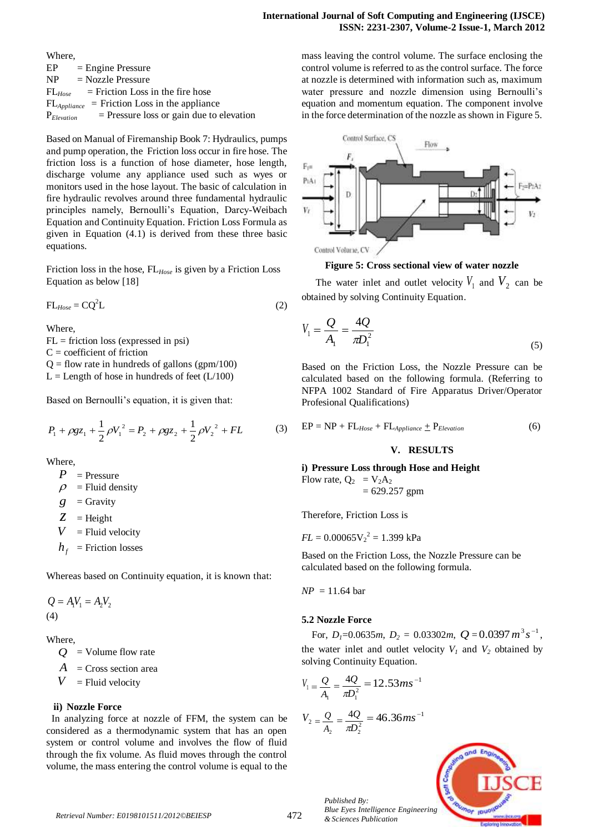| Where,          |                                                          |
|-----------------|----------------------------------------------------------|
| EP              | $=$ Engine Pressure                                      |
| NP.             | $=$ Nozzle Pressure                                      |
|                 | $FL_{Hose}$ = Friction Loss in the fire hose             |
|                 | $FL_{\text{Appliance}}$ = Friction Loss in the appliance |
| $P_{Elevation}$ | $=$ Pressure loss or gain due to elevation               |

Based on Manual of Firemanship Book 7: Hydraulics, pumps and pump operation, the Friction loss occur in fire hose. The friction loss is a function of hose diameter, hose length, discharge volume any appliance used such as wyes or monitors used in the hose layout. The basic of calculation in fire hydraulic revolves around three fundamental hydraulic principles namely, Bernoulli"s Equation, Darcy-Weibach Equation and Continuity Equation. Friction Loss Formula as given in Equation (4.1) is derived from these three basic equations.

Friction loss in the hose, FL*Hose* is given by a Friction Loss Equation as below [18]

$$
FL_{Hose} = CQ^2L
$$
 (2)

Where,

 $FL = friction loss$  (expressed in psi)

 $C =$  coefficient of friction

 $Q =$  flow rate in hundreds of gallons (gpm/100)

 $L =$  Length of hose in hundreds of feet ( $L/100$ )

Based on Bernoulli's equation, it is given that:

$$
P_1 + \rho g z_1 + \frac{1}{2} \rho V_1^2 = P_2 + \rho g z_2 + \frac{1}{2} \rho V_2^2 + FL \tag{3}
$$

Where,

- $P =$  Pressure
- $\Omega$  $=$  Fluid density
- *g*  $=$  Gravity
- *z*  $=$  Height
- *V*  $=$  Fluid velocity
- $h_f$  = Friction losses

Whereas based on Continuity equation, it is known that:

 $Q = A_1 V_1 = A_2 V_2$ (4)

Where,

*Q* = Volume flow rate

*A* = Cross section area

*V*  $=$  Fluid velocity

# **ii) Nozzle Force**

 In analyzing force at nozzle of FFM, the system can be considered as a thermodynamic system that has an open system or control volume and involves the flow of fluid through the fix volume. As fluid moves through the control volume, the mass entering the control volume is equal to the

mass leaving the control volume. The surface enclosing the control volume is referred to as the control surface. The force at nozzle is determined with information such as, maximum water pressure and nozzle dimension using Bernoulli's equation and momentum equation. The component involve in the force determination of the nozzle as shown in Figure 5.



**Figure 5: Cross sectional view of water nozzle**

The water inlet and outlet velocity  $V_1$  and  $V_2$  can be obtained by solving Continuity Equation.

$$
V_1 = \frac{Q}{A_1} = \frac{4Q}{\pi D_1^2}
$$
\n(5)

Based on the Friction Loss, the Nozzle Pressure can be calculated based on the following formula. (Referring to NFPA 1002 Standard of Fire Apparatus Driver/Operator Profesional Qualifications)

$$
EP = NP + FLHose + FLApplication + PElevation
$$
 (6)

## **V. RESULTS**

**i) Pressure Loss through Hose and Height** Flow rate,  $Q_2 = V_2 A_2$  $= 629.257$  gpm

Therefore, Friction Loss is

 $FL = 0.00065 V_2^2 = 1.399 kPa$ 

Based on the Friction Loss, the Nozzle Pressure can be calculated based on the following formula.

 $NP = 11.64$  bar

# **5.2 Nozzle Force**

For,  $D_1=0.0635m$ ,  $D_2=0.03302m$ ,  $Q=0.0397 m^3 s^{-1}$ , the water inlet and outlet velocity  $V_I$  and  $V_2$  obtained by solving Continuity Equation.

$$
V_1 = \frac{Q}{A_1} = \frac{4Q}{\pi D_1^2} = 12.53 \text{ ms}^{-1}
$$

$$
V_2 = \frac{Q}{A_2} = \frac{4Q}{\pi D_2^2} = 46.36 \text{ ms}^{-1}
$$

*Published By:*